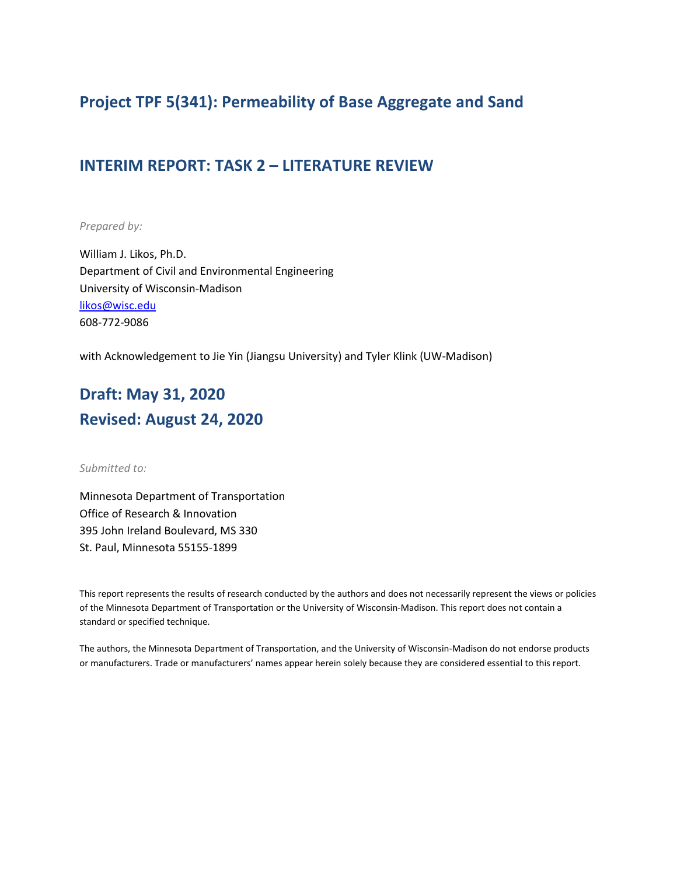## **Project TPF 5(341): Permeability of Base Aggregate and Sand**

### **INTERIM REPORT: TASK 2 – LITERATURE REVIEW**

*Prepared by:*

William J. Likos, Ph.D. Department of Civil and Environmental Engineering University of Wisconsin-Madison [likos@wisc.edu](mailto:likos@wisc.edu) 608-772-9086

with Acknowledgement to Jie Yin (Jiangsu University) and Tyler Klink (UW-Madison)

# **Draft: May 31, 2020 Revised: August 24, 2020**

*Submitted to:*

Minnesota Department of Transportation Office of Research & Innovation 395 John Ireland Boulevard, MS 330 St. Paul, Minnesota 55155-1899

This report represents the results of research conducted by the authors and does not necessarily represent the views or policies of the Minnesota Department of Transportation or the University of Wisconsin-Madison. This report does not contain a standard or specified technique.

The authors, the Minnesota Department of Transportation, and the University of Wisconsin-Madison do not endorse products or manufacturers. Trade or manufacturers' names appear herein solely because they are considered essential to this report.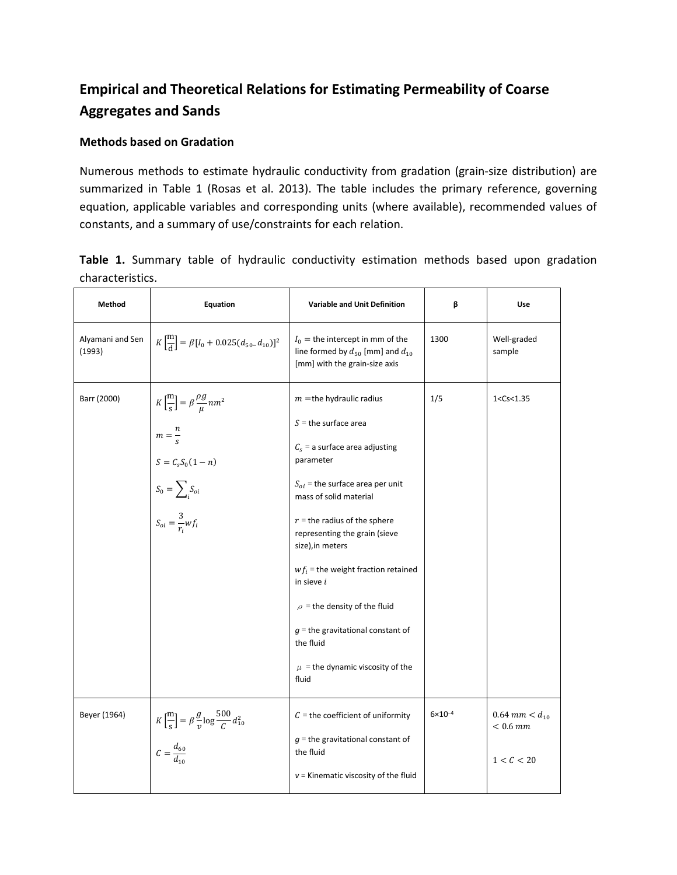## **Empirical and Theoretical Relations for Estimating Permeability of Coarse Aggregates and Sands**

#### **Methods based on Gradation**

Numerous methods to estimate hydraulic conductivity from gradation (grain-size distribution) are summarized in Table 1 (Rosas et al. 2013). The table includes the primary reference, governing equation, applicable variables and corresponding units (where available), recommended values of constants, and a summary of use/constraints for each relation.

|                  |  |  | Table 1. Summary table of hydraulic conductivity estimation methods based upon gradation |  |  |  |
|------------------|--|--|------------------------------------------------------------------------------------------|--|--|--|
| characteristics. |  |  |                                                                                          |  |  |  |

| Method                     | Equation                                                                                                                                                                                                       | <b>Variable and Unit Definition</b>                                                                                                                                                                                                                                                                                                                                                                                                                             | β                  | Use                                              |
|----------------------------|----------------------------------------------------------------------------------------------------------------------------------------------------------------------------------------------------------------|-----------------------------------------------------------------------------------------------------------------------------------------------------------------------------------------------------------------------------------------------------------------------------------------------------------------------------------------------------------------------------------------------------------------------------------------------------------------|--------------------|--------------------------------------------------|
| Alyamani and Sen<br>(1993) | $K\left[\frac{m}{d}\right] = \beta[I_0 + 0.025(d_{50}-d_{10})]^2$                                                                                                                                              | $I_0$ = the intercept in mm of the<br>line formed by $d_{50}$ [mm] and $d_{10}$<br>[mm] with the grain-size axis                                                                                                                                                                                                                                                                                                                                                | 1300               | Well-graded<br>sample                            |
| Barr (2000)                | $K\left[\frac{m}{s}\right] = \beta \frac{\rho g}{\mu} nm^2$<br>$m=\frac{n}{s}$<br>$S = \ensuremath{\mathcal{C}}_s \ensuremath{\mathcal{S}}_0 (1-n)$<br>$S_0 = \sum_i S_{oi}$<br>$S_{oi} = \frac{3}{r_i} w f_i$ | $m =$ the hydraulic radius<br>$S =$ the surface area<br>$C_s$ = a surface area adjusting<br>parameter<br>$S_{oi}$ = the surface area per unit<br>mass of solid material<br>$r =$ the radius of the sphere<br>representing the grain (sieve<br>size), in meters<br>$wf_i$ = the weight fraction retained<br>in sieve i<br>$\rho$ = the density of the fluid<br>$q$ = the gravitational constant of<br>the fluid<br>$\mu$ = the dynamic viscosity of the<br>fluid | 1/5                | 1 < Cs < 1.35                                    |
| Beyer (1964)               | $K\left[\frac{\text{m}}{\text{s}}\right] = \beta \frac{g}{v} \log \frac{500}{C} d_{10}^2$<br>$C = \frac{d_{60}}{d_{12}}$                                                                                       | $C =$ the coefficient of uniformity<br>$g$ = the gravitational constant of<br>the fluid<br>$v$ = Kinematic viscosity of the fluid                                                                                                                                                                                                                                                                                                                               | $6 \times 10^{-4}$ | $0.64$ mm $< d_{10}$<br>$< 0.6$ mm<br>1 < C < 20 |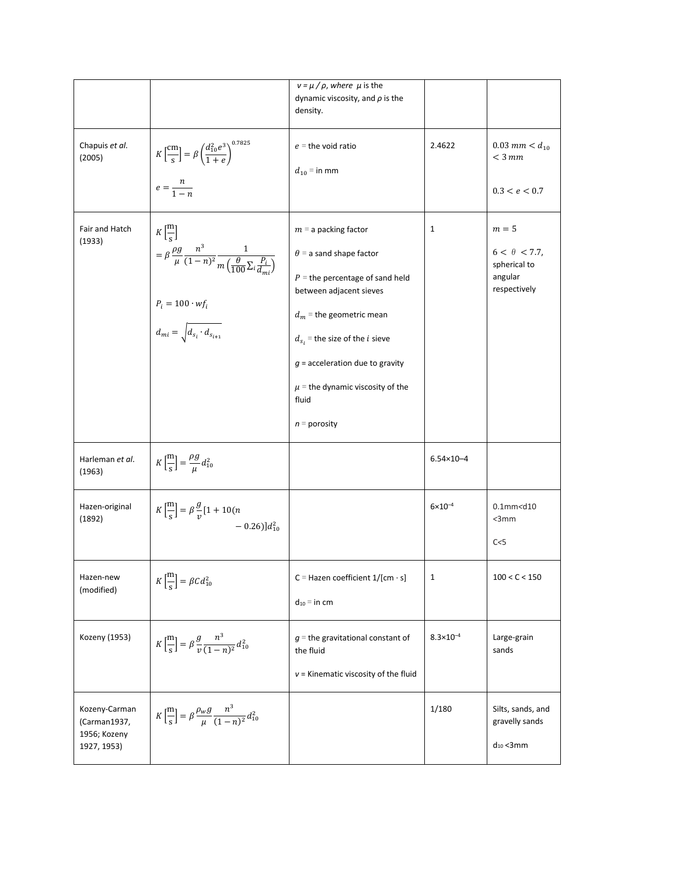|                                                              |                                                                                                                                                                                                                             | $v = \mu / \rho$ , where $\mu$ is the<br>dynamic viscosity, and $\rho$ is the<br>density.                                                                                                                                                                                                                    |                      |                                                                          |
|--------------------------------------------------------------|-----------------------------------------------------------------------------------------------------------------------------------------------------------------------------------------------------------------------------|--------------------------------------------------------------------------------------------------------------------------------------------------------------------------------------------------------------------------------------------------------------------------------------------------------------|----------------------|--------------------------------------------------------------------------|
| Chapuis et al.<br>(2005)                                     | $K\left[\frac{cm}{s}\right] = \beta \left(\frac{d_{10}^2 e^3}{1+e}\right)^{0.7825}$<br>$e = \frac{n}{1-n}$                                                                                                                  | $e =$ the void ratio<br>$d_{10}$ = in mm                                                                                                                                                                                                                                                                     | 2.4622               | $0.03$ mm $< d_{10}$<br>$<$ 3 mm<br>0.3 < e < 0.7                        |
| Fair and Hatch<br>(1933)                                     | $K\left[\frac{m}{s}\right]$<br>$= \beta \frac{\rho g}{\mu} \frac{n^3}{(1-n)^2} \frac{1}{m \left(\frac{\theta}{100} \sum_i \frac{P_i}{d_i}\right)}$<br>$P_i = 100 \cdot wf_i$<br>$d_{mi} = \sqrt{d_{s_i} \cdot d_{s_{i+1}}}$ | $m = a$ packing factor<br>$\theta$ = a sand shape factor<br>$P =$ the percentage of sand held<br>between adjacent sieves<br>$d_m$ = the geometric mean<br>$d_{s_i}$ = the size of the <i>i</i> sieve<br>$g$ = acceleration due to gravity<br>$\mu$ = the dynamic viscosity of the<br>fluid<br>$n =$ porosity | 1                    | $m=5$<br>$6 < \theta < 7.7$ ,<br>spherical to<br>angular<br>respectively |
| Harleman et al.<br>(1963)                                    | $K\left[\frac{\text{m}}{\text{s}}\right] = \frac{\rho g}{\mu} d_{10}^2$                                                                                                                                                     |                                                                                                                                                                                                                                                                                                              | $6.54 \times 10 - 4$ |                                                                          |
| Hazen-original<br>(1892)                                     | $K\left[\frac{m}{s}\right] = \beta \frac{g}{v} [1 + 10(n)]$<br>$-0.26$ ] $d_{10}^2$                                                                                                                                         |                                                                                                                                                                                                                                                                                                              | $6 \times 10^{-4}$   | $0.1$ mm <d<math>10<br/><math>&lt;</math>3mm<br/>C &lt; 5</d<math>       |
| Hazen-new<br>(modified)                                      | $K\left[\frac{\text{m}}{\text{s}}\right] = \beta C d_{10}^2$                                                                                                                                                                | C = Hazen coefficient $1/[cm \cdot s]$<br>$d_{10}$ = in cm                                                                                                                                                                                                                                                   | 1                    | 100 < C < 150                                                            |
| Kozeny (1953)                                                | $K\left[\frac{\text{m}}{\text{s}}\right] = \beta \frac{g}{v} \frac{n^3}{(1-n)^2} d_{10}^2$                                                                                                                                  | $g$ = the gravitational constant of<br>the fluid<br>$v$ = Kinematic viscosity of the fluid                                                                                                                                                                                                                   | $8.3 \times 10^{-4}$ | Large-grain<br>sands                                                     |
| Kozeny-Carman<br>(Carman1937,<br>1956; Kozeny<br>1927, 1953) | $K\left[\frac{\text{m}}{\text{s}}\right] = \beta \frac{\rho_w g}{\mu} \frac{n^3}{(1-n)^2} d_{10}^2$                                                                                                                         |                                                                                                                                                                                                                                                                                                              | 1/180                | Silts, sands, and<br>gravelly sands<br>$d_{10}$ < 3 mm                   |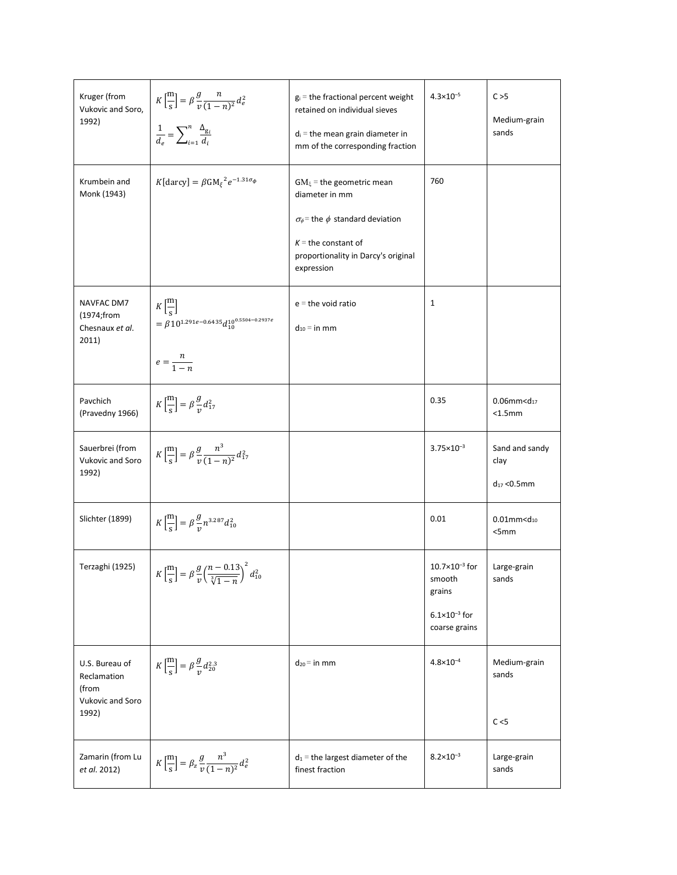| Kruger (from<br>Vukovic and Soro,<br>1992)                          | $K\left[\frac{m}{s}\right] = \beta \frac{g}{v} \frac{n}{(1-n)^2} d_e^2$<br>$\frac{1}{d_e} = \sum_{i=1}^n \frac{\Delta_{g_i}}{d_i}$ | $g_i$ = the fractional percent weight<br>retained on individual sieves<br>$d_i$ = the mean grain diameter in<br>mm of the corresponding fraction                                   | $4.3 \times 10^{-5}$                                                                       | C > 5<br>Medium-grain<br>sands             |
|---------------------------------------------------------------------|------------------------------------------------------------------------------------------------------------------------------------|------------------------------------------------------------------------------------------------------------------------------------------------------------------------------------|--------------------------------------------------------------------------------------------|--------------------------------------------|
| Krumbein and<br>Monk (1943)                                         | $K[{\rm darcy}] = \beta {\rm GM_{\xi}}^2 e^{-1.31\sigma_{\phi}}$                                                                   | $GM_{\xi}$ = the geometric mean<br>diameter in mm<br>$\sigma_{\phi}$ = the $\phi$ standard deviation<br>$K =$ the constant of<br>proportionality in Darcy's original<br>expression | 760                                                                                        |                                            |
| NAVFAC DM7<br>(1974;from<br>Chesnaux et al.<br>2011)                | $K\left[\frac{m}{s}\right]$<br>$\hspace*{35pt} = \beta 10^{1.291e - 0.6435} d_{10}^{10^{0.5504 - 0.2937e}}$<br>$e = \frac{n}{1-n}$ | $e =$ the void ratio<br>$d_{10}$ = in mm                                                                                                                                           | 1                                                                                          |                                            |
| Pavchich<br>(Pravedny 1966)                                         | $K\left[\frac{\text{m}}{\text{s}}\right] = \beta \frac{g}{v} d_{17}^2$                                                             |                                                                                                                                                                                    | 0.35                                                                                       | 0.06mm $<$ d <sub>17</sub><br>< 1.5mm      |
| Sauerbrei (from<br>Vukovic and Soro<br>1992)                        | $K\left[\frac{\text{m}}{\text{s}}\right] = \beta \frac{g}{v} \frac{n^3}{(1-n)^2} d_{17}^2$                                         |                                                                                                                                                                                    | $3.75 \times 10^{-3}$                                                                      | Sand and sandy<br>clay<br>$d_{17}$ < 0.5mm |
| Slichter (1899)                                                     | $K\left[\frac{m}{s}\right] = \beta \frac{g}{v} n^{3.287} d_{10}^2$                                                                 |                                                                                                                                                                                    | 0.01                                                                                       | $0.01$ mm< $d_{10}$<br><5mm                |
| Terzaghi (1925)                                                     | $K\left[\frac{\text{m}}{\text{s}}\right] = \beta \frac{g}{v} \left(\frac{n-0.13}{\sqrt[3]{1-n}}\right)^2 d_{10}^2$                 |                                                                                                                                                                                    | $10.7 \times 10^{-3}$ for<br>smooth<br>grains<br>$6.1 \times 10^{-3}$ for<br>coarse grains | Large-grain<br>sands                       |
| U.S. Bureau of<br>Reclamation<br>(from<br>Vukovic and Soro<br>1992) | $K\left[\frac{\text{m}}{\text{s}}\right] = \beta \frac{g}{v} d_{20}^{2.3}$                                                         | $d_{20}$ = in mm                                                                                                                                                                   | $4.8 \times 10^{-4}$                                                                       | Medium-grain<br>sands<br>C < 5             |
| Zamarin (from Lu<br>et al. 2012)                                    | $K\left[\frac{m}{s}\right] = \beta_z \frac{g}{v} \frac{n^3}{(1-n)^2} d_e^2$                                                        | $d_1$ = the largest diameter of the<br>finest fraction                                                                                                                             | $8.2 \times 10^{-3}$                                                                       | Large-grain<br>sands                       |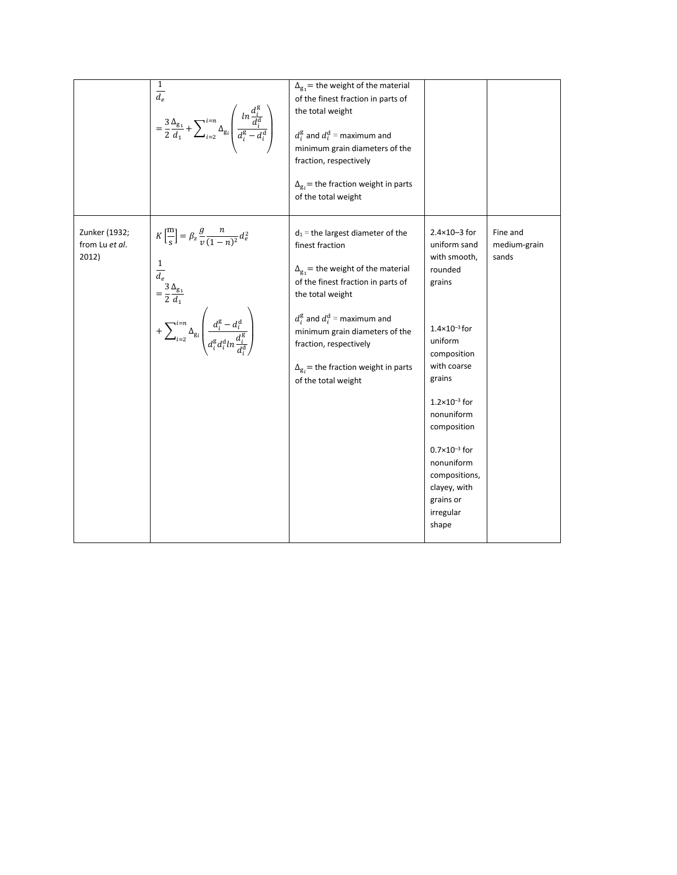|                                          | $\frac{1}{d_e}$<br>= $\frac{3}{2} \frac{\Delta_{g_1}}{d_1} + \sum_{i=2}^{i=n} \Delta_{g_i} \left( \frac{ln \frac{d_i^g}{d_i^d}}{d_i^g - d_i^d} \right)$                                                                                                                                                                                                                         | $\Delta_{g_1}$ = the weight of the material<br>of the finest fraction in parts of<br>the total weight<br>$d_i^{\rm g}$ and $d_i^{\rm d}$ = maximum and<br>minimum grain diameters of the<br>fraction, respectively<br>$\Delta_{g_i}$ = the fraction weight in parts<br>of the total weight                                                          |                                                                                                                                                                                                                                                                                                                                |                                   |
|------------------------------------------|---------------------------------------------------------------------------------------------------------------------------------------------------------------------------------------------------------------------------------------------------------------------------------------------------------------------------------------------------------------------------------|-----------------------------------------------------------------------------------------------------------------------------------------------------------------------------------------------------------------------------------------------------------------------------------------------------------------------------------------------------|--------------------------------------------------------------------------------------------------------------------------------------------------------------------------------------------------------------------------------------------------------------------------------------------------------------------------------|-----------------------------------|
| Zunker (1932;<br>from Lu et al.<br>2012) | $K\left[\frac{\mathrm{m}}{\mathrm{s}}\right] = \beta_z \frac{g}{v} \frac{n}{(1-n)^2} d_e^2$<br>$\begin{aligned} \frac{1}{d_e} \\ = \frac{3}{2} \frac{\Delta_{\text{g}_1}}{d_1} \end{aligned}$<br>$+ \sum\nolimits_{i = 2}^{i = n} {\Delta _{\rm{g}_i}} \left( {\frac{{d_i^{\rm{g}} - d_i^{\rm{d}}}}{{d_i^{\rm{g}}d_i^{\rm{d}}ln\frac{{d_i^{\rm{g}}}}{{d_i^{\rm{d}}}}}} \right)$ | $d_1$ = the largest diameter of the<br>finest fraction<br>$\Delta_{g_1}$ = the weight of the material<br>of the finest fraction in parts of<br>the total weight<br>$d_i^{\rm g}$ and $d_i^{\rm d}$ = maximum and<br>minimum grain diameters of the<br>fraction, respectively<br>$\Delta_{gi}$ = the fraction weight in parts<br>of the total weight | $2.4 \times 10 - 3$ for<br>uniform sand<br>with smooth,<br>rounded<br>grains<br>$1.4\times10^{-3}$ for<br>uniform<br>composition<br>with coarse<br>grains<br>$1.2 \times 10^{-3}$ for<br>nonuniform<br>composition<br>$0.7\times10^{-3}$ for<br>nonuniform<br>compositions,<br>clayey, with<br>grains or<br>irregular<br>shape | Fine and<br>medium-grain<br>sands |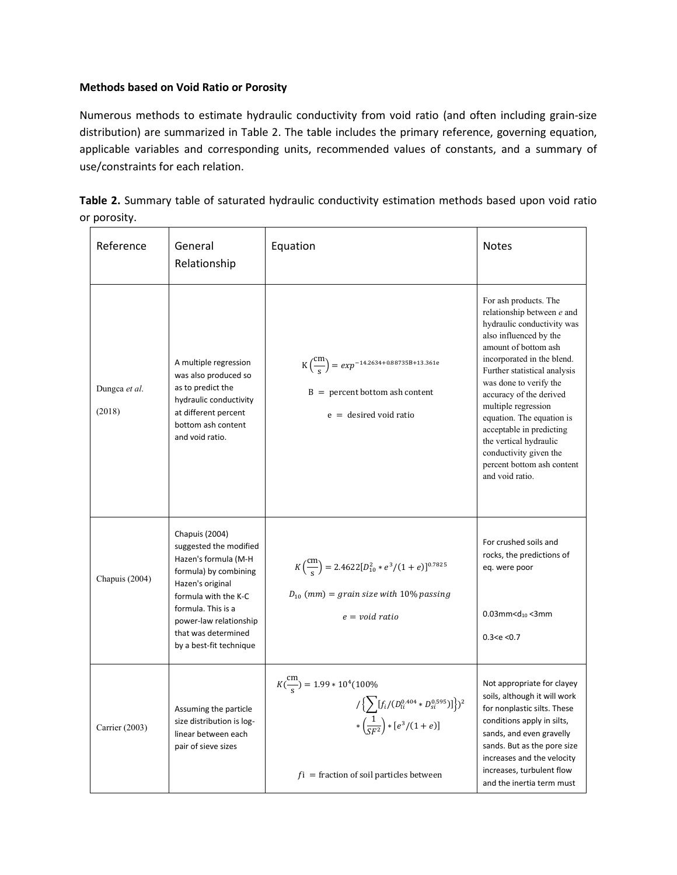#### **Methods based on Void Ratio or Porosity**

Numerous methods to estimate hydraulic conductivity from void ratio (and often including grain-size distribution) are summarized in Table 2. The table includes the primary reference, governing equation, applicable variables and corresponding units, recommended values of constants, and a summary of use/constraints for each relation.

| Table 2. Summary table of saturated hydraulic conductivity estimation methods based upon void ratio |  |  |  |  |
|-----------------------------------------------------------------------------------------------------|--|--|--|--|
| or porosity.                                                                                        |  |  |  |  |

| Reference               | General<br>Relationship                                                                                                                                                                                                                 | Equation                                                                                                                                                                                              | <b>Notes</b>                                                                                                                                                                                                                                                                                                                                                                                                                                |
|-------------------------|-----------------------------------------------------------------------------------------------------------------------------------------------------------------------------------------------------------------------------------------|-------------------------------------------------------------------------------------------------------------------------------------------------------------------------------------------------------|---------------------------------------------------------------------------------------------------------------------------------------------------------------------------------------------------------------------------------------------------------------------------------------------------------------------------------------------------------------------------------------------------------------------------------------------|
| Dungca et al.<br>(2018) | A multiple regression<br>was also produced so<br>as to predict the<br>hydraulic conductivity<br>at different percent<br>bottom ash content<br>and void ratio.                                                                           | $K\left(\frac{cm}{s}\right) = exp^{-14.2634 + 0.88735B + 13.361e}$<br>$B =$ percent bottom ash content<br>$e =$ desired void ratio                                                                    | For ash products. The<br>relationship between e and<br>hydraulic conductivity was<br>also influenced by the<br>amount of bottom ash<br>incorporated in the blend.<br>Further statistical analysis<br>was done to verify the<br>accuracy of the derived<br>multiple regression<br>equation. The equation is<br>acceptable in predicting<br>the vertical hydraulic<br>conductivity given the<br>percent bottom ash content<br>and void ratio. |
| Chapuis (2004)          | Chapuis (2004)<br>suggested the modified<br>Hazen's formula (M-H<br>formula) by combining<br>Hazen's original<br>formula with the K-C<br>formula. This is a<br>power-law relationship<br>that was determined<br>by a best-fit technique | $K\left(\frac{cm}{s}\right) = 2.4622[D_{10}^2 * e^3/(1+e)]^{0.7825}$<br>$D_{10}$ (mm) = grain size with 10% passing<br>$e = void ratio$                                                               | For crushed soils and<br>rocks, the predictions of<br>eq. were poor<br>$0.03$ mm <d<sub>10&lt;3mm<br/>0.3 &lt; e &lt; 0.7</d<sub>                                                                                                                                                                                                                                                                                                           |
| Carrier (2003)          | Assuming the particle<br>size distribution is log-<br>linear between each<br>pair of sieve sizes                                                                                                                                        | $K(\frac{cm}{s}) = 1.99 * 10^4 (100\%$<br>$1\{\sum [f_i/(D_{li}^{0.404}*D_{si}^{0.595})]\}^2$<br>$*\left(\frac{1}{\varsigma_{F2}}\right) * [e^3/(1+e)]$<br>$f_i$ = fraction of soil particles between | Not appropriate for clayey<br>soils, although it will work<br>for nonplastic silts. These<br>conditions apply in silts,<br>sands, and even gravelly<br>sands. But as the pore size<br>increases and the velocity<br>increases, turbulent flow<br>and the inertia term must                                                                                                                                                                  |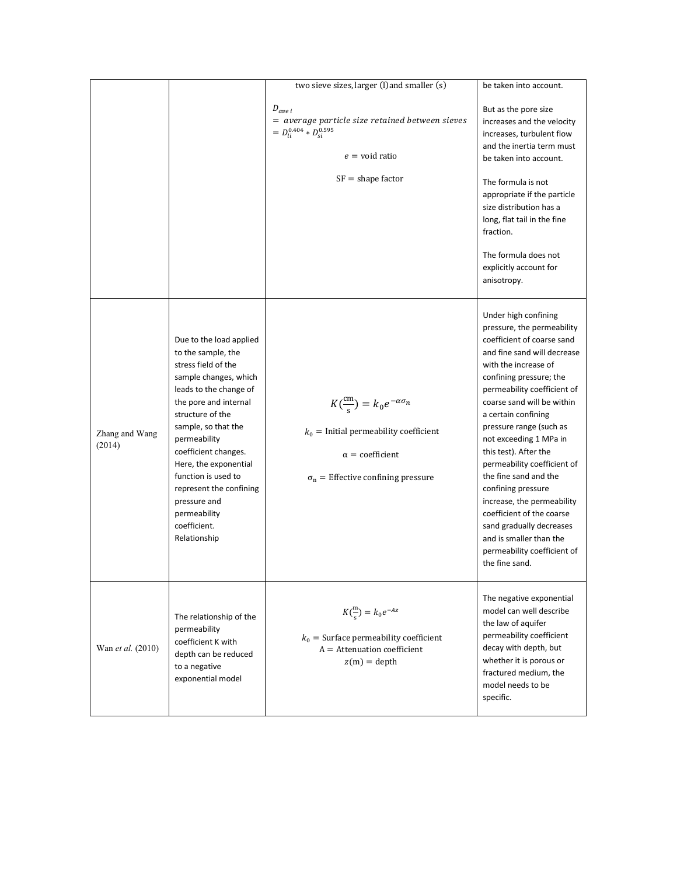|                          |                                                                                                                                                                                                                                                                                                                                                                                | two sieve sizes, larger (l) and smaller (s)                                                                                                                                      | be taken into account.                                                                                                                                                                                                                                                                                                                                                                                                                                                                                                                                                                |
|--------------------------|--------------------------------------------------------------------------------------------------------------------------------------------------------------------------------------------------------------------------------------------------------------------------------------------------------------------------------------------------------------------------------|----------------------------------------------------------------------------------------------------------------------------------------------------------------------------------|---------------------------------------------------------------------------------------------------------------------------------------------------------------------------------------------------------------------------------------------------------------------------------------------------------------------------------------------------------------------------------------------------------------------------------------------------------------------------------------------------------------------------------------------------------------------------------------|
|                          |                                                                                                                                                                                                                                                                                                                                                                                | $D_{ave\,i}$<br>$=$ average particle size retained between sieves<br>$= D_{li}^{0.404} * D_{si}^{0.595}$                                                                         | But as the pore size<br>increases and the velocity<br>increases, turbulent flow<br>and the inertia term must                                                                                                                                                                                                                                                                                                                                                                                                                                                                          |
|                          |                                                                                                                                                                                                                                                                                                                                                                                | $e =$ void ratio                                                                                                                                                                 | be taken into account.                                                                                                                                                                                                                                                                                                                                                                                                                                                                                                                                                                |
|                          |                                                                                                                                                                                                                                                                                                                                                                                | $SF = shape factor$                                                                                                                                                              | The formula is not<br>appropriate if the particle<br>size distribution has a<br>long, flat tail in the fine<br>fraction.<br>The formula does not<br>explicitly account for                                                                                                                                                                                                                                                                                                                                                                                                            |
|                          |                                                                                                                                                                                                                                                                                                                                                                                |                                                                                                                                                                                  | anisotropy.                                                                                                                                                                                                                                                                                                                                                                                                                                                                                                                                                                           |
| Zhang and Wang<br>(2014) | Due to the load applied<br>to the sample, the<br>stress field of the<br>sample changes, which<br>leads to the change of<br>the pore and internal<br>structure of the<br>sample, so that the<br>permeability<br>coefficient changes.<br>Here, the exponential<br>function is used to<br>represent the confining<br>pressure and<br>permeability<br>coefficient.<br>Relationship | $K\left(\frac{cm}{s}\right) = k_0 e^{-\alpha \sigma_n}$<br>$k_0$ = Initial permeability coefficient<br>$\alpha$ = coefficient<br>$\sigma_{\rm n}$ = Effective confining pressure | Under high confining<br>pressure, the permeability<br>coefficient of coarse sand<br>and fine sand will decrease<br>with the increase of<br>confining pressure; the<br>permeability coefficient of<br>coarse sand will be within<br>a certain confining<br>pressure range (such as<br>not exceeding 1 MPa in<br>this test). After the<br>permeability coefficient of<br>the fine sand and the<br>confining pressure<br>increase, the permeability<br>coefficient of the coarse<br>sand gradually decreases<br>and is smaller than the<br>permeability coefficient of<br>the fine sand. |
| Wan <i>et al.</i> (2010) | The relationship of the<br>permeability<br>coefficient K with<br>depth can be reduced<br>to a negative<br>exponential model                                                                                                                                                                                                                                                    | $K(\frac{m}{s}) = k_0 e^{-Az}$<br>$k_0$ = Surface permeability coefficient<br>$A =$ Attenuation coefficient<br>$z(m) =$ depth                                                    | The negative exponential<br>model can well describe<br>the law of aquifer<br>permeability coefficient<br>decay with depth, but<br>whether it is porous or<br>fractured medium, the<br>model needs to be<br>specific.                                                                                                                                                                                                                                                                                                                                                                  |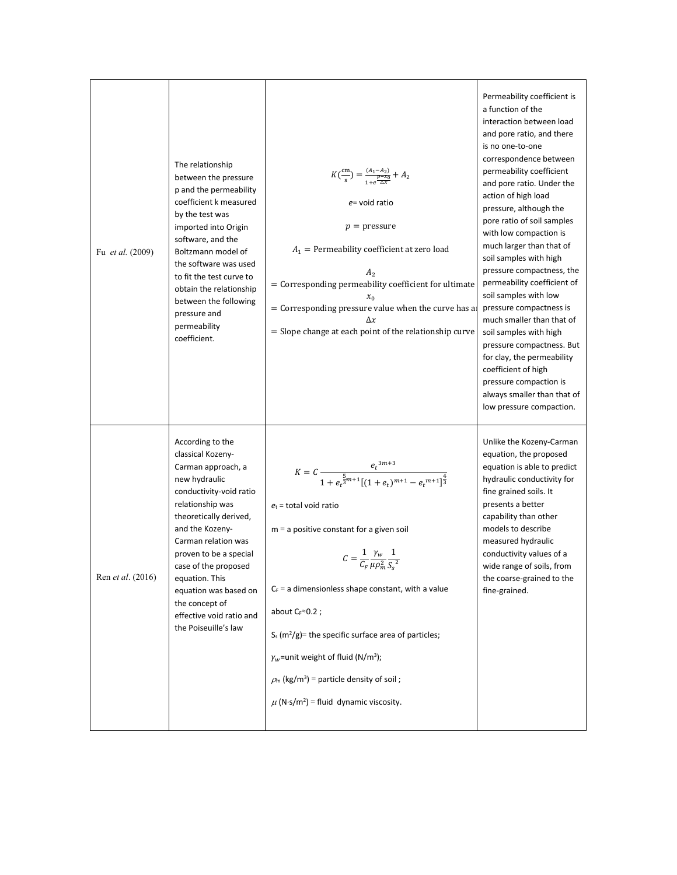| Fu et al. (2009)         | The relationship<br>between the pressure<br>p and the permeability<br>coefficient k measured<br>by the test was<br>imported into Origin<br>software, and the<br>Boltzmann model of<br>the software was used<br>to fit the test curve to<br>obtain the relationship<br>between the following<br>pressure and<br>permeability<br>coefficient.                        | $K(\frac{cm}{s}) = \frac{(A_1 - A_2)}{\frac{p - x_0}{\Lambda x}} + A_2$<br>$e$ = void ratio<br>$p =$ pressure<br>$A_1$ = Permeability coefficient at zero load<br>A <sub>2</sub><br>= Corresponding permeability coefficient for ultimate<br>$x_0$<br>= Corresponding pressure value when the curve has a<br>Δx<br>$=$ Slope change at each point of the relationship curve                                                                                                                                                                                                        | Permeability coefficient is<br>a function of the<br>interaction between load<br>and pore ratio, and there<br>is no one-to-one<br>correspondence between<br>permeability coefficient<br>and pore ratio. Under the<br>action of high load<br>pressure, although the<br>pore ratio of soil samples<br>with low compaction is<br>much larger than that of<br>soil samples with high<br>pressure compactness, the<br>permeability coefficient of<br>soil samples with low<br>pressure compactness is<br>much smaller than that of<br>soil samples with high<br>pressure compactness. But<br>for clay, the permeability<br>coefficient of high<br>pressure compaction is<br>always smaller than that of<br>low pressure compaction. |
|--------------------------|--------------------------------------------------------------------------------------------------------------------------------------------------------------------------------------------------------------------------------------------------------------------------------------------------------------------------------------------------------------------|------------------------------------------------------------------------------------------------------------------------------------------------------------------------------------------------------------------------------------------------------------------------------------------------------------------------------------------------------------------------------------------------------------------------------------------------------------------------------------------------------------------------------------------------------------------------------------|-------------------------------------------------------------------------------------------------------------------------------------------------------------------------------------------------------------------------------------------------------------------------------------------------------------------------------------------------------------------------------------------------------------------------------------------------------------------------------------------------------------------------------------------------------------------------------------------------------------------------------------------------------------------------------------------------------------------------------|
| Ren <i>et al.</i> (2016) | According to the<br>classical Kozeny-<br>Carman approach, a<br>new hydraulic<br>conductivity-void ratio<br>relationship was<br>theoretically derived,<br>and the Kozeny-<br>Carman relation was<br>proven to be a special<br>case of the proposed<br>equation. This<br>equation was based on<br>the concept of<br>effective void ratio and<br>the Poiseuille's law | $K = C \frac{e_t^{3m+3}}{1+e_t^{\frac{5}{3}m+1}[(1+e_t)^{m+1}-e_t^{m+1}]^{\frac{4}{3}}}$<br>$e_t$ = total void ratio<br>$m = a$ positive constant for a given soil<br>$C = \frac{1}{C_F} \frac{\gamma_w}{\mu \rho_m^2} \frac{1}{S_s^2}$<br>$C_F$ = a dimensionless shape constant, with a value<br>about $Cr^{\approx}0.2$ ;<br>S <sub>s</sub> $(m^2/g)$ = the specific surface area of particles;<br>$\gamma_w$ =unit weight of fluid (N/m <sup>3</sup> );<br>$\rho_m$ (kg/m <sup>3</sup> ) = particle density of soil;<br>$\mu$ (N·s/m <sup>2</sup> ) = fluid dynamic viscosity. | Unlike the Kozeny-Carman<br>equation, the proposed<br>equation is able to predict<br>hydraulic conductivity for<br>fine grained soils. It<br>presents a better<br>capability than other<br>models to describe<br>measured hydraulic<br>conductivity values of a<br>wide range of soils, from<br>the coarse-grained to the<br>fine-grained.                                                                                                                                                                                                                                                                                                                                                                                    |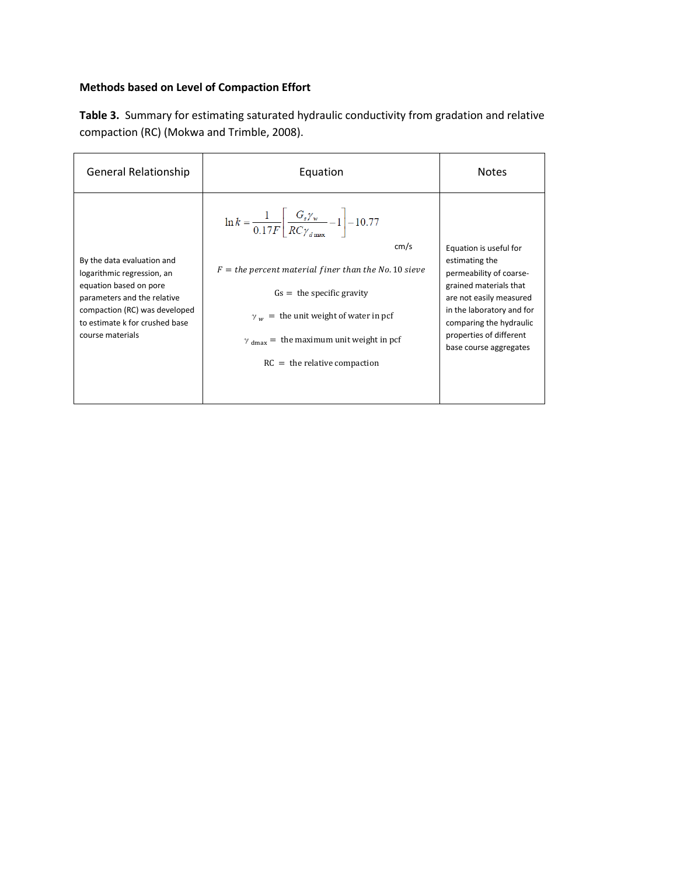### **Methods based on Level of Compaction Effort**

| Table 3. Summary for estimating saturated hydraulic conductivity from gradation and relative |  |
|----------------------------------------------------------------------------------------------|--|
| compaction (RC) (Mokwa and Trimble, 2008).                                                   |  |

| <b>General Relationship</b>                                     | Equation                                                                                          | <b>Notes</b>                                         |
|-----------------------------------------------------------------|---------------------------------------------------------------------------------------------------|------------------------------------------------------|
|                                                                 | $\ln k = \frac{1}{0.17F} \left  \frac{G_s \gamma_w}{RC \gamma_{\text{down}}} - 1 \right  - 10.77$ |                                                      |
|                                                                 | cm/s                                                                                              | Equation is useful for                               |
| By the data evaluation and<br>logarithmic regression, an        | $F =$ the percent material finer than the No. 10 sieve                                            | estimating the<br>permeability of coarse-            |
| equation based on pore<br>parameters and the relative           | $Gs =$ the specific gravity                                                                       | grained materials that<br>are not easily measured    |
| compaction (RC) was developed<br>to estimate k for crushed base | $\gamma_{w}$ = the unit weight of water in pcf                                                    | in the laboratory and for<br>comparing the hydraulic |
| course materials                                                | $\gamma$ <sub>dmax</sub> = the maximum unit weight in pcf                                         | properties of different<br>base course aggregates    |
|                                                                 | $RC =$ the relative compaction                                                                    |                                                      |
|                                                                 |                                                                                                   |                                                      |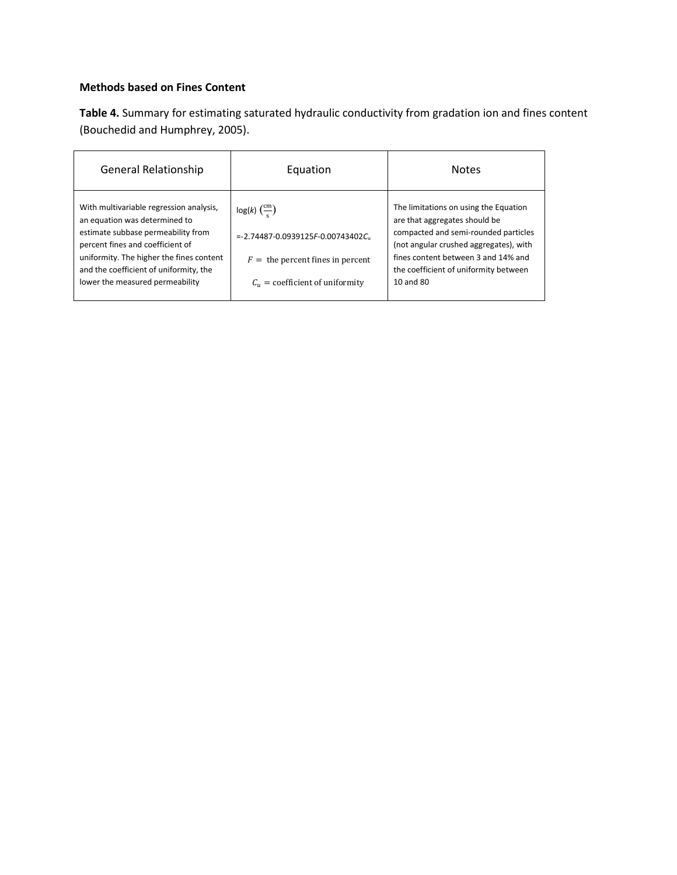#### **Methods based on Fines Content**

**Table 4.** Summary for estimating saturated hydraulic conductivity from gradation ion and fines content (Bouchedid and Humphrey, 2005).

| <b>General Relationship</b>                                                                                                                                                                                                                                                 | Equation                                                                                                                                                   | <b>Notes</b>                                                                                                                                                                                                                                          |
|-----------------------------------------------------------------------------------------------------------------------------------------------------------------------------------------------------------------------------------------------------------------------------|------------------------------------------------------------------------------------------------------------------------------------------------------------|-------------------------------------------------------------------------------------------------------------------------------------------------------------------------------------------------------------------------------------------------------|
| With multivariable regression analysis,<br>an equation was determined to<br>estimate subbase permeability from<br>percent fines and coefficient of<br>uniformity. The higher the fines content<br>and the coefficient of uniformity, the<br>lower the measured permeability | $log(k)$ $\left(\frac{cm}{c}\right)$<br>$= -2.74487 - 0.0939125F - 0.00743402C$<br>$F =$ the percent fines in percent<br>$C_u$ = coefficient of uniformity | The limitations on using the Equation<br>are that aggregates should be<br>compacted and semi-rounded particles<br>(not angular crushed aggregates), with<br>fines content between 3 and 14% and<br>the coefficient of uniformity between<br>10 and 80 |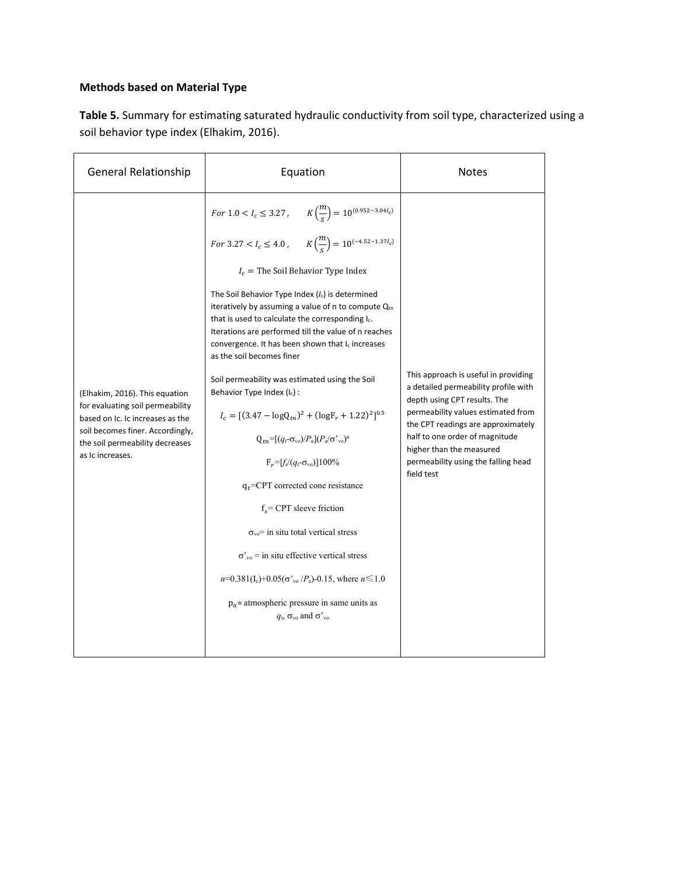### **Methods based on Material Type**

**Table 5.** Summary for estimating saturated hydraulic conductivity from soil type, characterized using a soil behavior type index (Elhakim, 2016).

| <b>General Relationship</b>                                                                                                                                                                       | Equation                                                                                                                                                                                                                                                                                                                                                                                                                                                                                                                                                                                                                                                                                                                                                                                                                                                                                                                                                                                                                                                                                                                                                       | <b>Notes</b>                                                                                                                                                                                                                                                                                                |
|---------------------------------------------------------------------------------------------------------------------------------------------------------------------------------------------------|----------------------------------------------------------------------------------------------------------------------------------------------------------------------------------------------------------------------------------------------------------------------------------------------------------------------------------------------------------------------------------------------------------------------------------------------------------------------------------------------------------------------------------------------------------------------------------------------------------------------------------------------------------------------------------------------------------------------------------------------------------------------------------------------------------------------------------------------------------------------------------------------------------------------------------------------------------------------------------------------------------------------------------------------------------------------------------------------------------------------------------------------------------------|-------------------------------------------------------------------------------------------------------------------------------------------------------------------------------------------------------------------------------------------------------------------------------------------------------------|
| (Elhakim, 2016). This equation<br>for evaluating soil permeability<br>based on Ic. Ic increases as the<br>soil becomes finer. Accordingly,<br>the soil permeability decreases<br>as Ic increases. | For $1.0 < I_c \leq 3.27$ , $K\left(\frac{m}{s}\right) = 10^{(0.952-3.04l_c)}$<br>For 3.27 < $I_c \le 4.0$ , $K\left(\frac{m}{s}\right) = 10^{(-4.52 - 1.37 l_c)}$<br>$I_c$ = The Soil Behavior Type Index<br>The Soil Behavior Type Index $(I_c)$ is determined<br>iteratively by assuming a value of n to compute Qtn<br>that is used to calculate the corresponding I<br>Iterations are performed till the value of n reaches<br>convergence. It has been shown that I <sub>c</sub> increases<br>as the soil becomes finer<br>Soil permeability was estimated using the Soil<br>Behavior Type Index $(I_c)$ :<br>$I_c = [(3.47 - logQ_{tn})^2 + (logF_r + 1.22)^2]^{0.5}$<br>$Q_{tn} = [(q_t - \sigma_{vo})/P_a](P_a/\sigma_{vo})^n$<br>$F_r = [f_s/(q_t - \sigma_{vo})]100\%$<br>$q_t$ =CPT corrected cone resistance<br>$f_s$ = CPT sleeve friction<br>$\sigma_{\rm vo}$ = in situ total vertical stress<br>$\sigma_{\text{vo}}^{\prime}$ = in situ effective vertical stress<br>$n=0.381(I_c)+0.05(\sigma'_{v0}/P_a)-0.15$ , where $n \le 1.0$<br>$p_a$ = atmospheric pressure in same units as<br>$q_{\rm t}$ , $\sigma_{\rm vo}$ and $\sigma_{\rm vo}$ | This approach is useful in providing<br>a detailed permeability profile with<br>depth using CPT results. The<br>permeability values estimated from<br>the CPT readings are approximately<br>half to one order of magnitude<br>higher than the measured<br>permeability using the falling head<br>field test |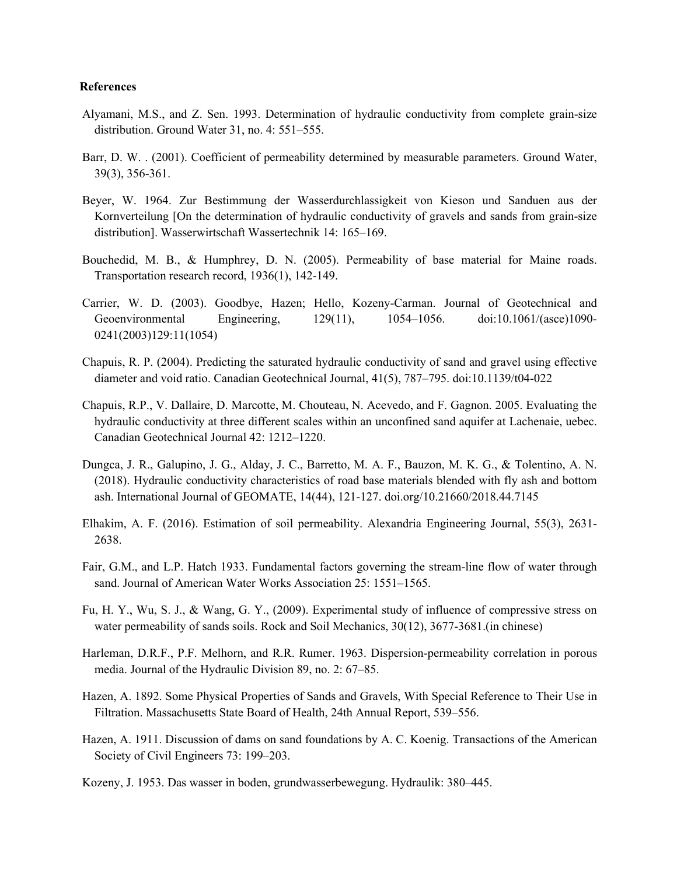#### **References**

- Alyamani, M.S., and Z. Sen. 1993. Determination of hydraulic conductivity from complete grain-size distribution. Ground Water 31, no. 4: 551–555.
- Barr, D. W. . (2001). Coefficient of permeability determined by measurable parameters. Ground Water, 39(3), 356-361.
- Beyer, W. 1964. Zur Bestimmung der Wasserdurchlassigkeit von Kieson und Sanduen aus der Kornverteilung [On the determination of hydraulic conductivity of gravels and sands from grain-size distribution]. Wasserwirtschaft Wassertechnik 14: 165–169.
- Bouchedid, M. B., & Humphrey, D. N. (2005). Permeability of base material for Maine roads. Transportation research record, 1936(1), 142-149.
- Carrier, W. D. (2003). Goodbye, Hazen; Hello, Kozeny-Carman. Journal of Geotechnical and Geoenvironmental Engineering, 129(11), 1054–1056. doi:10.1061/(asce)1090- 0241(2003)129:11(1054)
- Chapuis, R. P. (2004). Predicting the saturated hydraulic conductivity of sand and gravel using effective diameter and void ratio. Canadian Geotechnical Journal, 41(5), 787–795. doi:10.1139/t04-022
- Chapuis, R.P., V. Dallaire, D. Marcotte, M. Chouteau, N. Acevedo, and F. Gagnon. 2005. Evaluating the hydraulic conductivity at three different scales within an unconfined sand aquifer at Lachenaie, uebec. Canadian Geotechnical Journal 42: 1212–1220.
- Dungca, J. R., Galupino, J. G., Alday, J. C., Barretto, M. A. F., Bauzon, M. K. G., & Tolentino, A. N. (2018). Hydraulic conductivity characteristics of road base materials blended with fly ash and bottom ash. International Journal of GEOMATE, 14(44), 121-127. doi.org/10.21660/2018.44.7145
- Elhakim, A. F. (2016). Estimation of soil permeability. Alexandria Engineering Journal, 55(3), 2631- 2638.
- Fair, G.M., and L.P. Hatch 1933. Fundamental factors governing the stream-line flow of water through sand. Journal of American Water Works Association 25: 1551–1565.
- Fu, H. Y., Wu, S. J., & Wang, G. Y., (2009). Experimental study of influence of compressive stress on water permeability of sands soils. Rock and Soil Mechanics, 30(12), 3677-3681.(in chinese)
- Harleman, D.R.F., P.F. Melhorn, and R.R. Rumer. 1963. Dispersion-permeability correlation in porous media. Journal of the Hydraulic Division 89, no. 2: 67–85.
- Hazen, A. 1892. Some Physical Properties of Sands and Gravels, With Special Reference to Their Use in Filtration. Massachusetts State Board of Health, 24th Annual Report, 539–556.
- Hazen, A. 1911. Discussion of dams on sand foundations by A. C. Koenig. Transactions of the American Society of Civil Engineers 73: 199–203.
- Kozeny, J. 1953. Das wasser in boden, grundwasserbewegung. Hydraulik: 380–445.